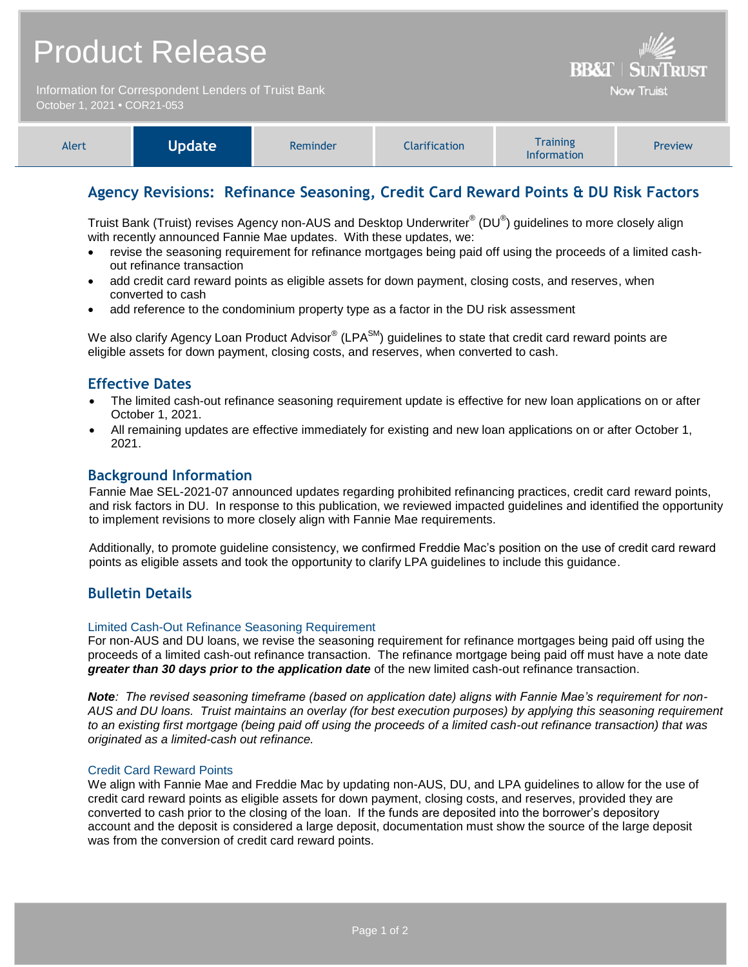| <b>Product Release</b>                                 | <b>BB&amp;T   SUNTRUST</b> |
|--------------------------------------------------------|----------------------------|
| Information for Correspondent Lenders of Truist Bank 1 | Now Truist                 |

October 1, 2021 **•** COR21-053

| Alert | Update <sup>1</sup> | Reminder | <b>Clarification</b> | <b>Training</b><br><b>Information</b> | <b>Preview</b> |
|-------|---------------------|----------|----------------------|---------------------------------------|----------------|
|-------|---------------------|----------|----------------------|---------------------------------------|----------------|

# **Agency Revisions: Refinance Seasoning, Credit Card Reward Points & DU Risk Factors**

Truist Bank (Truist) revises Agency non-AUS and Desktop Underwriter® (DU®) guidelines to more closely align with recently announced Fannie Mae updates. With these updates, we:

- revise the seasoning requirement for refinance mortgages being paid off using the proceeds of a limited cashout refinance transaction
- add credit card reward points as eligible assets for down payment, closing costs, and reserves, when converted to cash
- add reference to the condominium property type as a factor in the DU risk assessment

We also clarify Agency Loan Product Advisor $^{\circledast}$  (LPA $^{\text{SM}}$ ) guidelines to state that credit card reward points are eligible assets for down payment, closing costs, and reserves, when converted to cash.

### **Effective Dates**

- The limited cash-out refinance seasoning requirement update is effective for new loan applications on or after October 1, 2021.
- All remaining updates are effective immediately for existing and new loan applications on or after October 1, 2021.

# **Background Information**

Fannie Mae SEL-2021-07 announced updates regarding prohibited refinancing practices, credit card reward points, and risk factors in DU. In response to this publication, we reviewed impacted guidelines and identified the opportunity to implement revisions to more closely align with Fannie Mae requirements.

Additionally, to promote guideline consistency, we confirmed Freddie Mac's position on the use of credit card reward points as eligible assets and took the opportunity to clarify LPA guidelines to include this guidance.

# **Bulletin Details**

### Limited Cash-Out Refinance Seasoning Requirement

For non-AUS and DU loans, we revise the seasoning requirement for refinance mortgages being paid off using the proceeds of a limited cash-out refinance transaction. The refinance mortgage being paid off must have a note date *greater than 30 days prior to the application date* of the new limited cash-out refinance transaction.

*Note: The revised seasoning timeframe (based on application date) aligns with Fannie Mae's requirement for non-AUS and DU loans. Truist maintains an overlay (for best execution purposes) by applying this seasoning requirement to an existing first mortgage (being paid off using the proceeds of a limited cash-out refinance transaction) that was originated as a limited-cash out refinance.*

#### Credit Card Reward Points

We align with Fannie Mae and Freddie Mac by updating non-AUS, DU, and LPA guidelines to allow for the use of credit card reward points as eligible assets for down payment, closing costs, and reserves, provided they are converted to cash prior to the closing of the loan. If the funds are deposited into the borrower's depository account and the deposit is considered a large deposit, documentation must show the source of the large deposit was from the conversion of credit card reward points.